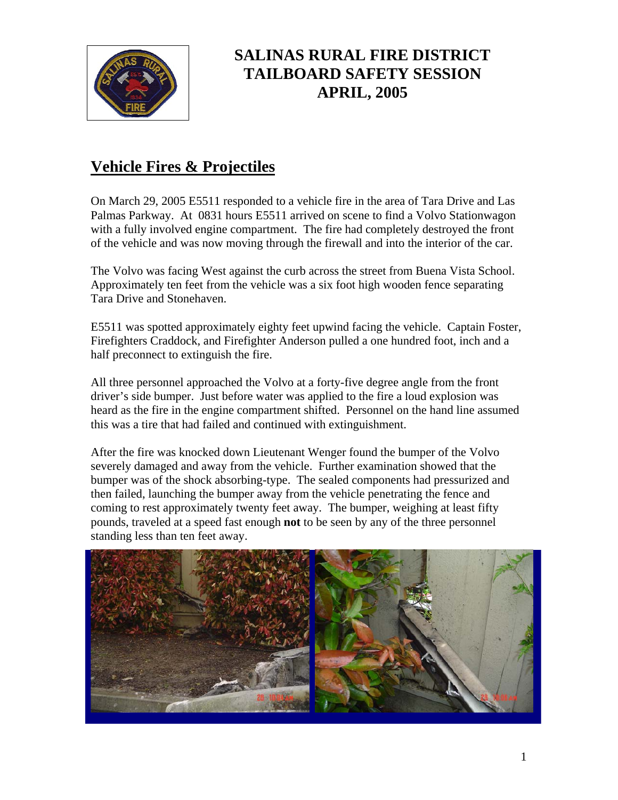

## **SALINAS RURAL FIRE DISTRICT TAILBOARD SAFETY SESSION APRIL, 2005**

## **Vehicle Fires & Projectiles**

On March 29, 2005 E5511 responded to a vehicle fire in the area of Tara Drive and Las Palmas Parkway. At 0831 hours E5511 arrived on scene to find a Volvo Stationwagon with a fully involved engine compartment. The fire had completely destroyed the front of the vehicle and was now moving through the firewall and into the interior of the car.

The Volvo was facing West against the curb across the street from Buena Vista School. Approximately ten feet from the vehicle was a six foot high wooden fence separating Tara Drive and Stonehaven.

E5511 was spotted approximately eighty feet upwind facing the vehicle. Captain Foster, Firefighters Craddock, and Firefighter Anderson pulled a one hundred foot, inch and a half preconnect to extinguish the fire.

All three personnel approached the Volvo at a forty-five degree angle from the front driver's side bumper. Just before water was applied to the fire a loud explosion was heard as the fire in the engine compartment shifted. Personnel on the hand line assumed this was a tire that had failed and continued with extinguishment.

After the fire was knocked down Lieutenant Wenger found the bumper of the Volvo severely damaged and away from the vehicle. Further examination showed that the bumper was of the shock absorbing-type. The sealed components had pressurized and then failed, launching the bumper away from the vehicle penetrating the fence and coming to rest approximately twenty feet away. The bumper, weighing at least fifty pounds, traveled at a speed fast enough **not** to be seen by any of the three personnel standing less than ten feet away.

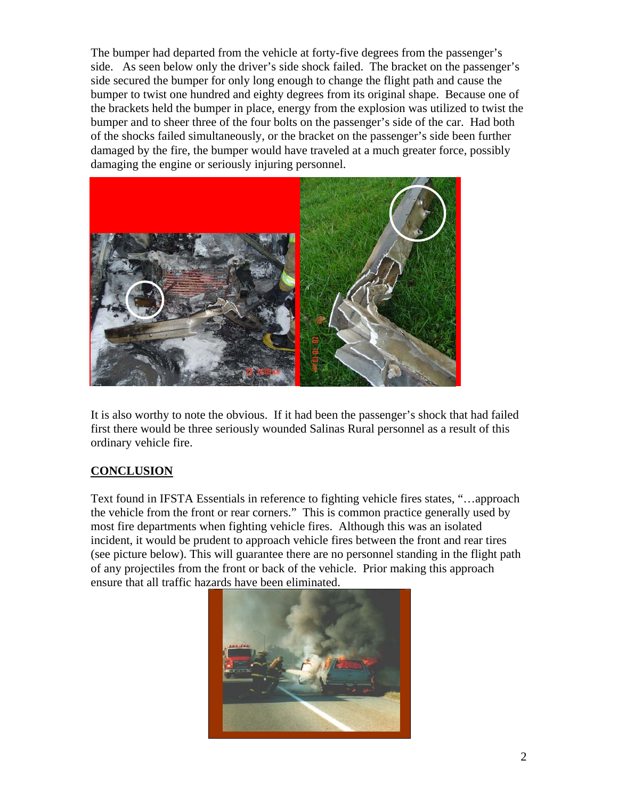The bumper had departed from the vehicle at forty-five degrees from the passenger's side. As seen below only the driver's side shock failed. The bracket on the passenger's side secured the bumper for only long enough to change the flight path and cause the bumper to twist one hundred and eighty degrees from its original shape. Because one of the brackets held the bumper in place, energy from the explosion was utilized to twist the bumper and to sheer three of the four bolts on the passenger's side of the car. Had both of the shocks failed simultaneously, or the bracket on the passenger's side been further damaged by the fire, the bumper would have traveled at a much greater force, possibly damaging the engine or seriously injuring personnel.



It is also worthy to note the obvious. If it had been the passenger's shock that had failed first there would be three seriously wounded Salinas Rural personnel as a result of this ordinary vehicle fire.

## **CONCLUSION**

Text found in IFSTA Essentials in reference to fighting vehicle fires states, "…approach the vehicle from the front or rear corners." This is common practice generally used by most fire departments when fighting vehicle fires. Although this was an isolated incident, it would be prudent to approach vehicle fires between the front and rear tires (see picture below). This will guarantee there are no personnel standing in the flight path of any projectiles from the front or back of the vehicle. Prior making this approach ensure that all traffic hazards have been eliminated.

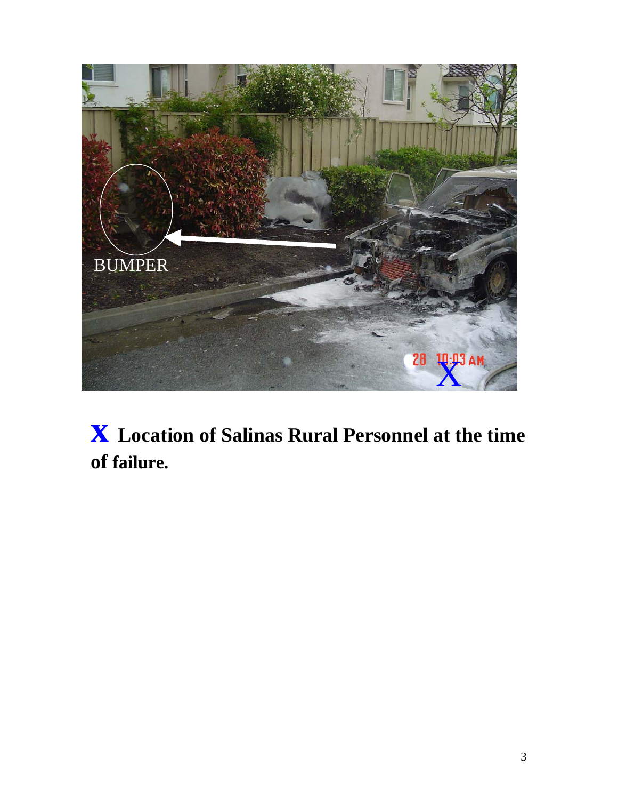

**x Location of Salinas Rural Personnel at the time of failure.**